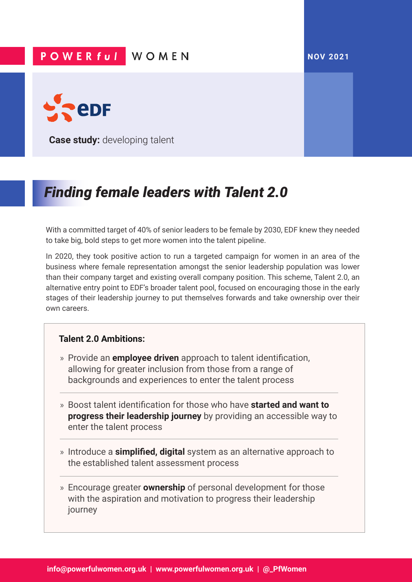## **NOV 2021**

## **POWERful WOMEN**



**Case study:** developing talent

## *Finding female leaders with Talent 2.0*

With a committed target of 40% of senior leaders to be female by 2030, EDF knew they needed to take big, bold steps to get more women into the talent pipeline.

In 2020, they took positive action to run a targeted campaign for women in an area of the business where female representation amongst the senior leadership population was lower than their company target and existing overall company position. This scheme, Talent 2.0, an alternative entry point to EDF's broader talent pool, focused on encouraging those in the early stages of their leadership journey to put themselves forwards and take ownership over their own careers.

## **Talent 2.0 Ambitions:**

- » Provide an **employee driven** approach to talent identification, allowing for greater inclusion from those from a range of backgrounds and experiences to enter the talent process
- » Boost talent identification for those who have **started and want to progress their leadership journey** by providing an accessible way to enter the talent process
- » Introduce a **simplified, digital** system as an alternative approach to the established talent assessment process
- » Encourage greater **ownership** of personal development for those with the aspiration and motivation to progress their leadership journey